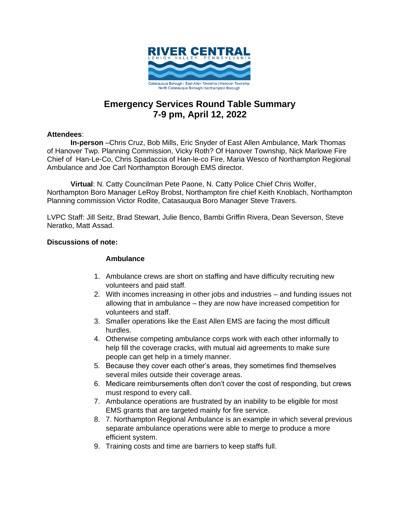

# **Emergency Services Round Table Summary 7-9 pm, April 12, 2022**

### **Attendees**:

**In-person** –Chris Cruz, Bob Mills, Eric Snyder of East Allen Ambulance, Mark Thomas of Hanover Twp. Planning Commission, Vicky Roth? Of Hanover Township, Nick Marlowe Fire Chief of Han-Le-Co, Chris Spadaccia of Han-le-co Fire, Maria Wesco of Northampton Regional Ambulance and Joe Carl Northampton Borough EMS director.

**Virtual**: N. Catty Councilman Pete Paone, N. Catty Police Chief Chris Wolfer, Northampton Boro Manager LeRoy Brobst, Northampton fire chief Keith Knoblach, Northampton Planning commission Victor Rodite, Catasauqua Boro Manager Steve Travers.

LVPC Staff: Jill Seitz, Brad Stewart, Julie Benco, Bambi Griffin Rivera, Dean Severson, Steve Neratko, Matt Assad.

### **Discussions of note:**

### **Ambulance**

- 1. Ambulance crews are short on staffing and have difficulty recruiting new volunteers and paid staff.
- 2. With incomes increasing in other jobs and industries and funding issues not allowing that in ambulance – they are now have increased competition for volunteers and staff.
- 3. Smaller operations like the East Allen EMS are facing the most difficult hurdles.
- 4. Otherwise competing ambulance corps work with each other informally to help fill the coverage cracks, with mutual aid agreements to make sure people can get help in a timely manner.
- 5. Because they cover each other's areas, they sometimes find themselves several miles outside their coverage areas.
- 6. Medicare reimbursements often don't cover the cost of responding, but crews must respond to every call.
- 7. Ambulance operations are frustrated by an inability to be eligible for most EMS grants that are targeted mainly for fire service.
- 8. 7. Northampton Regional Ambulance is an example in which several previous separate ambulance operations were able to merge to produce a more efficient system.
- 9. Training costs and time are barriers to keep staffs full.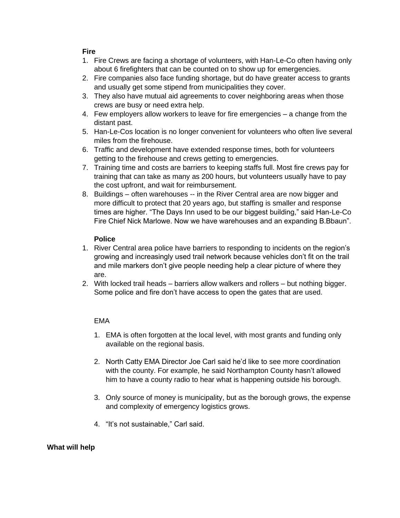## **Fire**

- 1. Fire Crews are facing a shortage of volunteers, with Han-Le-Co often having only about 6 firefighters that can be counted on to show up for emergencies.
- 2. Fire companies also face funding shortage, but do have greater access to grants and usually get some stipend from municipalities they cover.
- 3. They also have mutual aid agreements to cover neighboring areas when those crews are busy or need extra help.
- 4. Few employers allow workers to leave for fire emergencies a change from the distant past.
- 5. Han-Le-Cos location is no longer convenient for volunteers who often live several miles from the firehouse.
- 6. Traffic and development have extended response times, both for volunteers getting to the firehouse and crews getting to emergencies.
- 7. Training time and costs are barriers to keeping staffs full. Most fire crews pay for training that can take as many as 200 hours, but volunteers usually have to pay the cost upfront, and wait for reimbursement.
- 8. Buildings often warehouses -- in the River Central area are now bigger and more difficult to protect that 20 years ago, but staffing is smaller and response times are higher. "The Days Inn used to be our biggest building," said Han-Le-Co Fire Chief Nick Marlowe. Now we have warehouses and an expanding B.Bbaun".

# **Police**

- 1. River Central area police have barriers to responding to incidents on the region's growing and increasingly used trail network because vehicles don't fit on the trail and mile markers don't give people needing help a clear picture of where they are.
- 2. With locked trail heads barriers allow walkers and rollers but nothing bigger. Some police and fire don't have access to open the gates that are used.

# EMA

- 1. EMA is often forgotten at the local level, with most grants and funding only available on the regional basis.
- 2. North Catty EMA Director Joe Carl said he'd like to see more coordination with the county. For example, he said Northampton County hasn't allowed him to have a county radio to hear what is happening outside his borough.
- 3. Only source of money is municipality, but as the borough grows, the expense and complexity of emergency logistics grows.
- 4. "It's not sustainable," Carl said.

## **What will help**